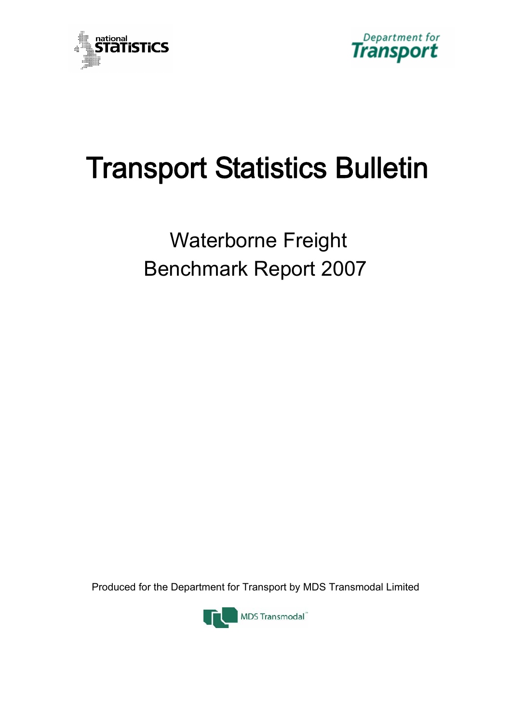



# **Transport Statistics Bulletin**

## Waterborne Freight Benchmark Report 2007

Produced for the Department for Transport by MDS Transmodal Limited

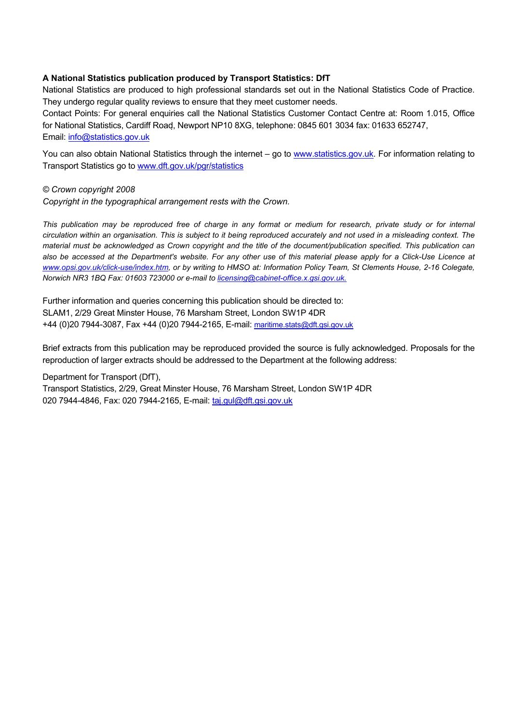#### **A National Statistics publication produced by Transport Statistics: DfT**

National Statistics are produced to high professional standards set out in the National Statistics Code of Practice. They undergo regular quality reviews to ensure that they meet customer needs.

Contact Points: For general enquiries call the National Statistics Customer Contact Centre at: Room 1.015, Office for National Statistics, Cardiff Road, Newport NP10 8XG, telephone: 0845 601 3034 fax: 01633 652747, Email: [info@statistics.gov.uk](mailto:info@statistics.gov.uk)

You can also obtain National Statistics through the internet – go to [www.statistics.gov.uk.](http://www.statistics.gov.uk/) For information relating to Transport Statistics go to [www.dft.gov.uk/pgr/statistics](http://www.dft.gov.uk/pgr/statistics/)

*© Crown copyright 2008* 

*Copyright in the typographical arrangement rests with the Crown.* 

*This publication may be reproduced free of charge in any format or medium for research, private study or for internal circulation within an organisation. This is subject to it being reproduced accurately and not used in a misleading context. The material must be acknowledged as Crown copyright and the title of the document/publication specified. This publication can also be accessed at the Department's website. For any other use of this material please apply for a Click-Use Licence at [www.opsi.gov.uk/click-use/index.htm](http://www.opsi.gov.uk/click-use/index.htm), or by writing to HMSO at: Information Policy Team, St Clements House, 2-16 Colegate, Norwich NR3 1BQ Fax: 01603 723000 or e-mail to [licensing@cabinet-office.x.gsi.gov.uk.](mailto: licensing@cabinet-office.x.gsi.gov.uk.)*

Further information and queries concerning this publication should be directed to: SLAM1, 2/29 Great Minster House, 76 Marsham Street, London SW1P 4DR +44 (0)20 7944-3087, Fax +44 (0)20 7944-2165, E-mail: [maritime.stats@dft.gsi.gov.uk](mailto:maritime.stats@dft.gsi.gov.uk)

Brief extracts from this publication may be reproduced provided the source is fully acknowledged. Proposals for the reproduction of larger extracts should be addressed to the Department at the following address:

Department for Transport (DfT),

Transport Statistics, 2/29, Great Minster House, 76 Marsham Street, London SW1P 4DR 020 7944-4846, Fax: 020 7944-2165, E-mail: [taj.gul@dft.gsi.gov.uk](mailto:taj.gul@dft.gsi.gov.uk)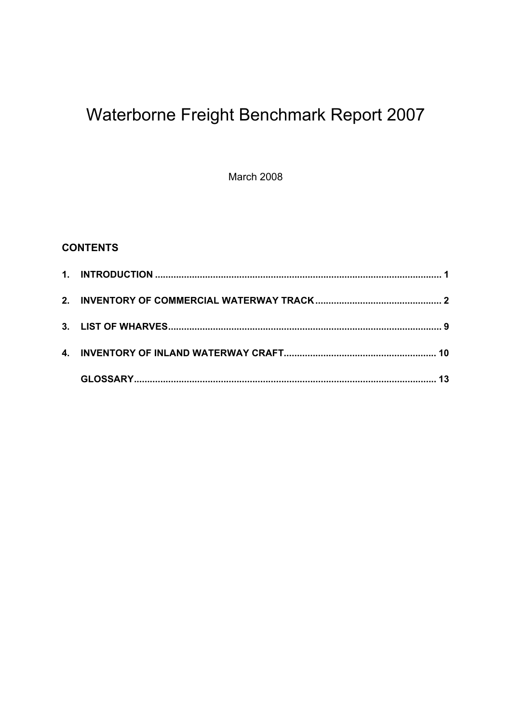## Waterborne Freight Benchmark Report 2007

March 2008

## **CONTENTS**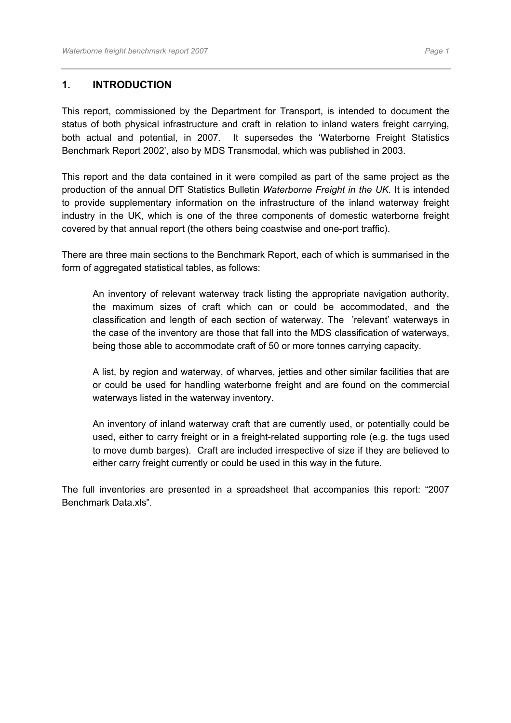#### <span id="page-3-0"></span>**1. INTRODUCTION**

This report, commissioned by the Department for Transport, is intended to document the status of both physical infrastructure and craft in relation to inland waters freight carrying, both actual and potential, in 2007. It supersedes the 'Waterborne Freight Statistics Benchmark Report 2002', also by MDS Transmodal, which was published in 2003.

This report and the data contained in it were compiled as part of the same project as the production of the annual DfT Statistics Bulletin *Waterborne Freight in the UK*. It is intended to provide supplementary information on the infrastructure of the inland waterway freight industry in the UK, which is one of the three components of domestic waterborne freight covered by that annual report (the others being coastwise and one-port traffic).

There are three main sections to the Benchmark Report, each of which is summarised in the form of aggregated statistical tables, as follows:

An inventory of relevant waterway track listing the appropriate navigation authority, the maximum sizes of craft which can or could be accommodated, and the classification and length of each section of waterway. The 'relevant' waterways in the case of the inventory are those that fall into the MDS classification of waterways, being those able to accommodate craft of 50 or more tonnes carrying capacity.

A list, by region and waterway, of wharves, jetties and other similar facilities that are or could be used for handling waterborne freight and are found on the commercial waterways listed in the waterway inventory.

An inventory of inland waterway craft that are currently used, or potentially could be used, either to carry freight or in a freight-related supporting role (e.g. the tugs used to move dumb barges). Craft are included irrespective of size if they are believed to either carry freight currently or could be used in this way in the future.

The full inventories are presented in a spreadsheet that accompanies this report: "2007 Benchmark Data xls"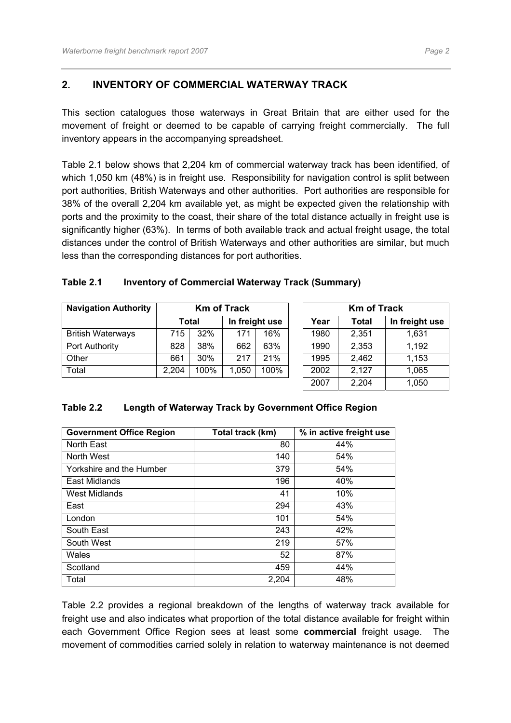<span id="page-4-0"></span>This section catalogues those waterways in Great Britain that are either used for the movement of freight or deemed to be capable of carrying freight commercially. The full inventory appears in the accompanying spreadsheet.

Table 2.1 below shows that 2,204 km of commercial waterway track has been identified, of which 1,050 km (48%) is in freight use. Responsibility for navigation control is split between port authorities, British Waterways and other authorities. Port authorities are responsible for 38% of the overall 2,204 km available yet, as might be expected given the relationship with ports and the proximity to the coast, their share of the total distance actually in freight use is significantly higher (63%). In terms of both available track and actual freight usage, the total distances under the control of British Waterways and other authorities are similar, but much less than the corresponding distances for port authorities.

| Table 2.1 |  | <b>Inventory of Commercial Waterway Track (Summary)</b> |  |
|-----------|--|---------------------------------------------------------|--|
|           |  |                                                         |  |

| <b>Navigation Authority</b> |              |       | <b>Km of Track</b> |      |       | <b>Km of Track</b> |                |
|-----------------------------|--------------|-------|--------------------|------|-------|--------------------|----------------|
|                             | <b>Total</b> |       | In freight use     |      | Year  | <b>Total</b>       | In freight use |
| <b>British Waterways</b>    | 32%<br>715   |       | 171                | 16%  | 1980  | 2,351              | 1,631          |
| Port Authority              | 828          | 38%   | 662                | 63%  | 1990  | 2,353              | 1,192          |
| Other                       | 661          | 30%   | 217                | 21%  | 1995  | 2,462              | 1,153          |
| Total<br>100%<br>2,204      |              | 1,050 | 100%               | 2002 | 2,127 | 1,065              |                |
|                             |              |       |                    |      | 2007  | 2,204              | 1,050          |

#### **Table 2.2 Length of Waterway Track by Government Office Region**

| <b>Government Office Region</b> | Total track (km) | % in active freight use |
|---------------------------------|------------------|-------------------------|
| North East                      | 80               | 44%                     |
| North West                      | 140              | 54%                     |
| Yorkshire and the Humber        | 379              | 54%                     |
| East Midlands                   | 196              | 40%                     |
| <b>West Midlands</b>            | 41               | 10%                     |
| East                            | 294              | 43%                     |
| London                          | 101              | 54%                     |
| South East                      | 243              | 42%                     |
| South West                      | 219              | 57%                     |
| Wales                           | 52               | 87%                     |
| Scotland                        | 459              | 44%                     |
| Total                           | 2,204            | 48%                     |

Table 2.2 provides a regional breakdown of the lengths of waterway track available for freight use and also indicates what proportion of the total distance available for freight within each Government Office Region sees at least some **commercial** freight usage. The movement of commodities carried solely in relation to waterway maintenance is not deemed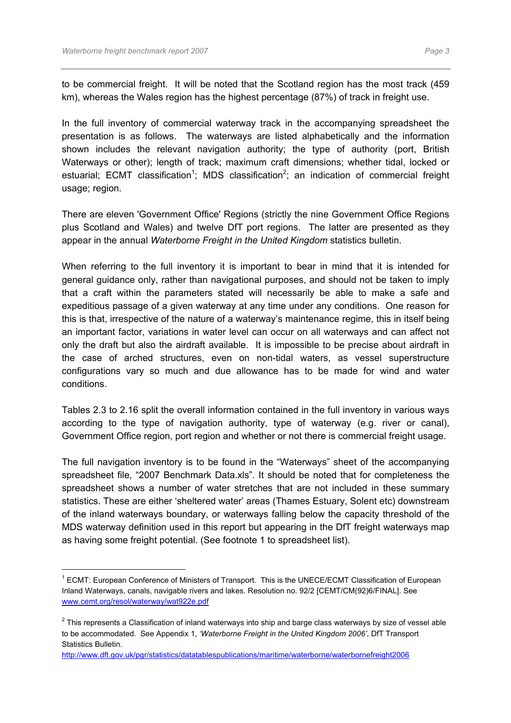to be commercial freight. It will be noted that the Scotland region has the most track (459 km), whereas the Wales region has the highest percentage (87%) of track in freight use.

In the full inventory of commercial waterway track in the accompanying spreadsheet the presentation is as follows. The waterways are listed alphabetically and the information shown includes the relevant navigation authority; the type of authority (port, British Waterways or other); length of track; maximum craft dimensions; whether tidal, locked or estuarial; ECMT classification<sup>[1](#page-5-0)</sup>; MDS classification<sup>[2](#page-5-1)</sup>; an indication of commercial freight usage; region.

There are eleven 'Government Office' Regions (strictly the nine Government Office Regions plus Scotland and Wales) and twelve DfT port regions. The latter are presented as they appear in the annual *Waterborne Freight in the United Kingdom* statistics bulletin.

When referring to the full inventory it is important to bear in mind that it is intended for general guidance only, rather than navigational purposes, and should not be taken to imply that a craft within the parameters stated will necessarily be able to make a safe and expeditious passage of a given waterway at any time under any conditions. One reason for this is that, irrespective of the nature of a waterway's maintenance regime, this in itself being an important factor, variations in water level can occur on all waterways and can affect not only the draft but also the airdraft available. It is impossible to be precise about airdraft in the case of arched structures, even on non-tidal waters, as vessel superstructure configurations vary so much and due allowance has to be made for wind and water conditions.

Tables 2.3 to 2.16 split the overall information contained in the full inventory in various ways according to the type of navigation authority, type of waterway (e.g. river or canal), Government Office region, port region and whether or not there is commercial freight usage.

The full navigation inventory is to be found in the "Waterways" sheet of the accompanying spreadsheet file, "2007 Benchmark Data.xls". It should be noted that for completeness the spreadsheet shows a number of water stretches that are not included in these summary statistics. These are either 'sheltered water' areas (Thames Estuary, Solent etc) downstream of the inland waterways boundary, or waterways falling below the capacity threshold of the MDS waterway definition used in this report but appearing in the DfT freight waterways map as having some freight potential. (See footnote 1 to spreadsheet list).

<http://www.dft.gov.uk/pgr/statistics/datatablespublications/maritime/waterborne/waterbornefreight2006>

<span id="page-5-0"></span><sup>&</sup>lt;sup>1</sup> ECMT: European Conference of Ministers of Transport. This is the UNECE/ECMT Classification of European Inland Waterways, canals, navigable rivers and lakes. Resolution no. 92/2 [CEMT/CM(92)6/FINAL]. See [www.cemt.org/resol/waterway/wat922e.pdf](http://www.cemt.org/resol/waterway/wat922e.pdf)

<span id="page-5-1"></span> $2$  This represents a Classification of inland waterways into ship and barge class waterways by size of vessel able to be accommodated. See Appendix 1, *'Waterborne Freight in the United Kingdom 2006'*, DfT Transport Statistics Bulletin.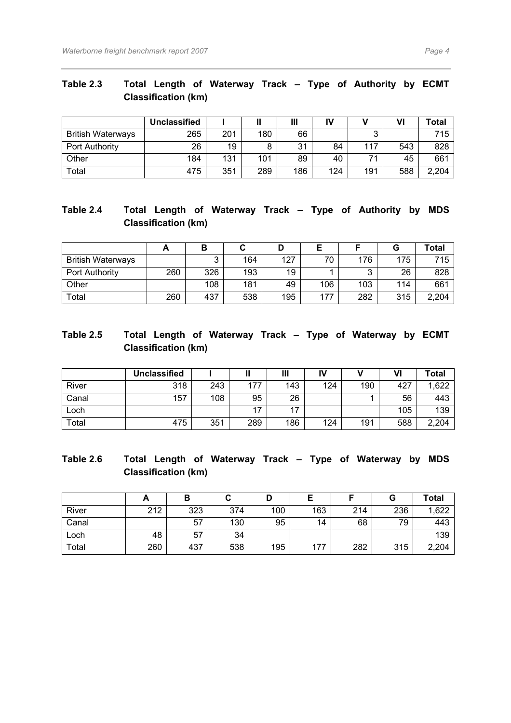| Table 2.3 |                            | Total Length of Waterway Track - Type of Authority by ECMT |  |  |  |  |
|-----------|----------------------------|------------------------------------------------------------|--|--|--|--|
|           | <b>Classification (km)</b> |                                                            |  |  |  |  |

|                          | Unclassified |     |     | Ш   | IV  |     | Vl  | Total |
|--------------------------|--------------|-----|-----|-----|-----|-----|-----|-------|
| <b>British Waterways</b> | 265          | 201 | 180 | 66  |     | ◠   |     | 715   |
| Port Authority           | 26           | 19  | 8   | 31  | 84  | 117 | 543 | 828   |
| Other                    | 184          | 131 | 101 | 89  | 40  | 71  | 45  | 661   |
| Total                    | 475          | 351 | 289 | 186 | 124 | 191 | 588 | 2,204 |

#### **Table 2.4 Total Length of Waterway Track – Type of Authority by MDS Classification (km)**

|                          |     | в   | ັ   |     |     |        | G   | Total |
|--------------------------|-----|-----|-----|-----|-----|--------|-----|-------|
| <b>British Waterways</b> |     |     | 164 | 127 | 70  | 176    | 175 | 715   |
| Port Authority           | 260 | 326 | 193 | 19  |     | ◠<br>u | 26  | 828   |
| Other                    |     | 108 | 181 | 49  | 106 | 103    | 114 | 661   |
| Total                    | 260 | 437 | 538 | 195 | 177 | 282    | 315 | 2,204 |

#### **Table 2.5 Total Length of Waterway Track – Type of Waterway by ECMT Classification (km)**

|       | Unclassified |     |     | Ш   | $\mathbf{v}$ |     | VI  | Total |
|-------|--------------|-----|-----|-----|--------------|-----|-----|-------|
| River | 318          | 243 | 177 | 143 | 124          | 190 | 427 | .622  |
| Canal | 157          | 108 | 95  | 26  |              |     | 56  | 443   |
| Loch  |              |     |     | 17  |              |     | 105 | 139   |
| Total | 475          | 351 | 289 | 186 | 124          | 191 | 588 | 2,204 |

## **Table 2.6 Total Length of Waterway Track – Type of Waterway by MDS Classification (km)**

|       |     | В   | u   |     |     |     | u   | <b>Total</b> |
|-------|-----|-----|-----|-----|-----|-----|-----|--------------|
| River | 212 | 323 | 374 | 100 | 163 | 214 | 236 | 1,622        |
| Canal |     | 57  | 130 | 95  | 14  | 68  | 79  | 443          |
| Loch  | 48  | 57  | 34  |     |     |     |     | 139          |
| Total | 260 | 437 | 538 | 195 | 177 | 282 | 315 | 2,204        |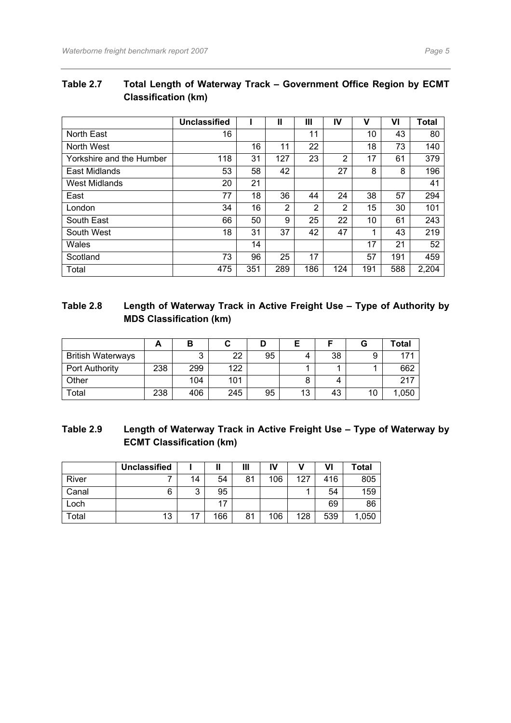|                          | <b>Unclassified</b> |     | $\mathbf{I}$ | $\mathbf{m}$ | IV  | ν   | VI  | <b>Total</b> |
|--------------------------|---------------------|-----|--------------|--------------|-----|-----|-----|--------------|
| North East               | 16                  |     |              | 11           |     | 10  | 43  | 80           |
| North West               |                     | 16  | 11           | 22           |     | 18  | 73  | 140          |
| Yorkshire and the Humber | 118                 | 31  | 127          | 23           | 2   | 17  | 61  | 379          |
| East Midlands            | 53                  | 58  | 42           |              | 27  | 8   | 8   | 196          |
| <b>West Midlands</b>     | 20                  | 21  |              |              |     |     |     | 41           |
| East                     | 77                  | 18  | 36           | 44           | 24  | 38  | 57  | 294          |
| London                   | 34                  | 16  | 2            | 2            | 2   | 15  | 30  | 101          |
| South East               | 66                  | 50  | 9            | 25           | 22  | 10  | 61  | 243          |
| South West               | 18                  | 31  | 37           | 42           | 47  | 1   | 43  | 219          |
| Wales                    |                     | 14  |              |              |     | 17  | 21  | 52           |
| Scotland                 | 73                  | 96  | 25           | 17           |     | 57  | 191 | 459          |
| Total                    | 475                 | 351 | 289          | 186          | 124 | 191 | 588 | 2,204        |

#### **Table 2.7 Total Length of Waterway Track – Government Office Region by ECMT Classification (km)**

#### **Table 2.8 Length of Waterway Track in Active Freight Use – Type of Authority by MDS Classification (km)**

|                          | -   | D   |     |    |    |    | G  | Total |
|--------------------------|-----|-----|-----|----|----|----|----|-------|
| <b>British Waterways</b> |     | ◠   | 22  | 95 |    | 38 | 9  | 171   |
| <b>Port Authority</b>    | 238 | 299 | 122 |    |    |    |    | 662   |
| Other                    |     | 104 | 101 |    |    |    |    | 217   |
| Total                    | 238 | 406 | 245 | 95 | 13 | 43 | 10 | 0.050 |

#### **Table 2.9 Length of Waterway Track in Active Freight Use – Type of Waterway by ECMT Classification (km)**

|       | <b>Unclassified</b> |        | Ш   | Ш  | IV  |     | VI  | Total |
|-------|---------------------|--------|-----|----|-----|-----|-----|-------|
| River |                     | 14     | 54  | 81 | 106 | 127 | 416 | 805   |
| Canal | 6                   | ົ<br>J | 95  |    |     |     | 54  | 159   |
| Loch  |                     |        | 17  |    |     |     | 69  | 86    |
| Total | 13                  |        | 166 | 81 | 106 | 128 | 539 | 1,050 |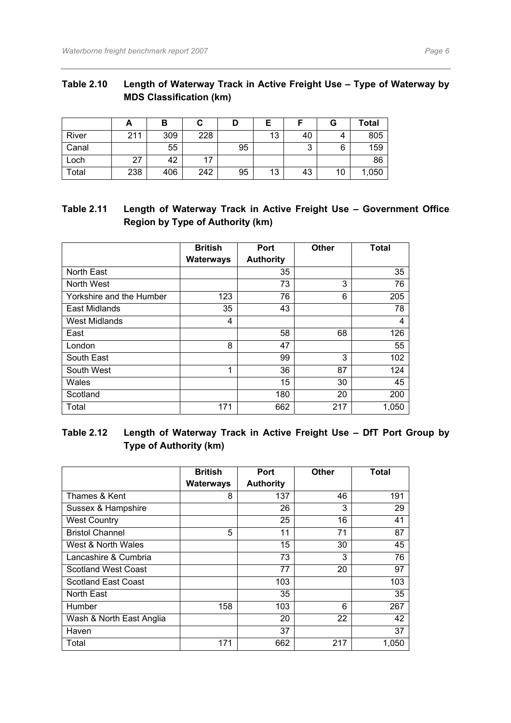#### **Table 2.10 Length of Waterway Track in Active Freight Use – Type of Waterway by MDS Classification (km)**

|       | ~   | В   | C   |    |    |        | G  | Total |
|-------|-----|-----|-----|----|----|--------|----|-------|
| River | 211 | 309 | 228 |    | 13 | 40     | 4  | 805   |
| Canal |     | 55  |     | 95 |    | ◠<br>J | 6  | 159   |
| Loch  | 27  | 42  | ⇁   |    |    |        |    | 86    |
| Total | 238 | 406 | 242 | 95 | 13 | 43     | 10 | 1,050 |

**Table 2.11 Length of Waterway Track in Active Freight Use – Government Office Region by Type of Authority (km)** 

|                          | <b>British</b>   | Port             | <b>Other</b> | <b>Total</b> |
|--------------------------|------------------|------------------|--------------|--------------|
|                          | <b>Waterways</b> | <b>Authority</b> |              |              |
| North East               |                  | 35               |              | 35           |
| North West               |                  | 73               | 3            | 76           |
| Yorkshire and the Humber | 123              | 76               | 6            | 205          |
| East Midlands            | 35               | 43               |              | 78           |
| <b>West Midlands</b>     | 4                |                  |              | 4            |
| East                     |                  | 58               | 68           | 126          |
| London                   | 8                | 47               |              | 55           |
| South East               |                  | 99               | 3            | 102          |
| South West               | 1                | 36               | 87           | 124          |
| Wales                    |                  | 15               | 30           | 45           |
| Scotland                 |                  | 180              | 20           | 200          |
| Total                    | 171              | 662              | 217          | 1,050        |

**Table 2.12 Length of Waterway Track in Active Freight Use – DfT Port Group by Type of Authority (km)** 

|                            | <b>British</b>   | Port             | Other | <b>Total</b> |
|----------------------------|------------------|------------------|-------|--------------|
|                            | <b>Waterways</b> | <b>Authority</b> |       |              |
| Thames & Kent              | 8                | 137              | 46    | 191          |
| Sussex & Hampshire         |                  | 26               | 3     | 29           |
| <b>West Country</b>        |                  | 25               | 16    | 41           |
| <b>Bristol Channel</b>     | 5                | 11               | 71    | 87           |
| West & North Wales         |                  | 15               | 30    | 45           |
| Lancashire & Cumbria       |                  | 73               | 3     | 76           |
| <b>Scotland West Coast</b> |                  | 77               | 20    | 97           |
| <b>Scotland East Coast</b> |                  | 103              |       | 103          |
| <b>North East</b>          |                  | 35               |       | 35           |
| Humber                     | 158              | 103              | 6     | 267          |
| Wash & North East Anglia   |                  | 20               | 22    | 42           |
| Haven                      |                  | 37               |       | 37           |
| Total                      | 171              | 662              | 217   | 1,050        |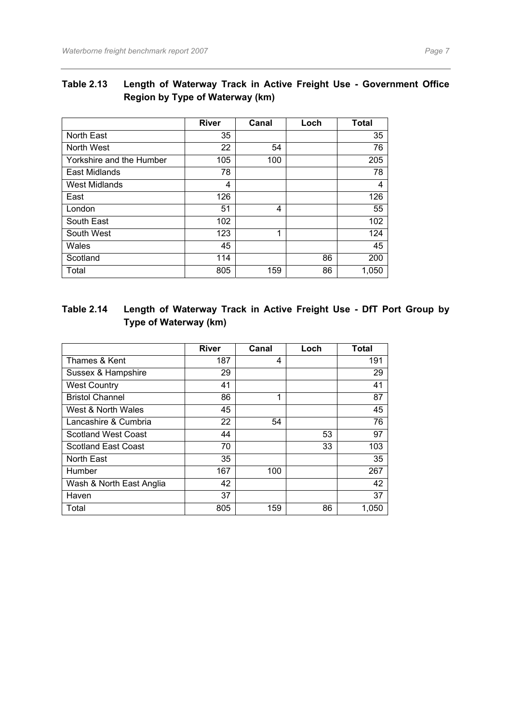## **Table 2.13 Length of Waterway Track in Active Freight Use - Government Office Region by Type of Waterway (km)**

|                          | <b>River</b> | Canal | Loch | <b>Total</b> |
|--------------------------|--------------|-------|------|--------------|
| North East               | 35           |       |      | 35           |
| North West               | 22           | 54    |      | 76           |
| Yorkshire and the Humber | 105          | 100   |      | 205          |
| East Midlands            | 78           |       |      | 78           |
| West Midlands            | 4            |       |      | 4            |
| East                     | 126          |       |      | 126          |
| London                   | 51           | 4     |      | 55           |
| South East               | 102          |       |      | 102          |
| South West               | 123          | 1     |      | 124          |
| Wales                    | 45           |       |      | 45           |
| Scotland                 | 114          |       | 86   | 200          |
| Total                    | 805          | 159   | 86   | 1,050        |

## **Table 2.14 Length of Waterway Track in Active Freight Use - DfT Port Group by Type of Waterway (km)**

|                            | <b>River</b> | Canal | Loch | <b>Total</b> |
|----------------------------|--------------|-------|------|--------------|
| Thames & Kent              | 187          | 4     |      | 191          |
| Sussex & Hampshire         | 29           |       |      | 29           |
| <b>West Country</b>        | 41           |       |      | 41           |
| <b>Bristol Channel</b>     | 86           | 1     |      | 87           |
| West & North Wales         | 45           |       |      | 45           |
| Lancashire & Cumbria       | 22           | 54    |      | 76           |
| <b>Scotland West Coast</b> | 44           |       | 53   | 97           |
| <b>Scotland East Coast</b> | 70           |       | 33   | 103          |
| North East                 | 35           |       |      | 35           |
| Humber                     | 167          | 100   |      | 267          |
| Wash & North East Anglia   | 42           |       |      | 42           |
| Haven                      | 37           |       |      | 37           |
| Total                      | 805          | 159   | 86   | 1,050        |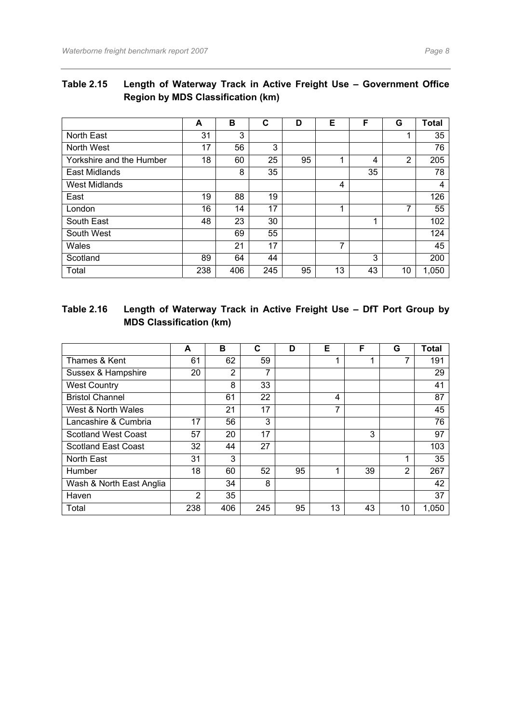| Table 2.15 | Length of Waterway Track in Active Freight Use - Government Office |
|------------|--------------------------------------------------------------------|
|            | <b>Region by MDS Classification (km)</b>                           |

|                          | A   | в   | C   | D  | Е  | F  | G  | <b>Total</b> |
|--------------------------|-----|-----|-----|----|----|----|----|--------------|
| North East               | 31  | 3   |     |    |    |    | ۸  | 35           |
| North West               | 17  | 56  | 3   |    |    |    |    | 76           |
| Yorkshire and the Humber | 18  | 60  | 25  | 95 | 1  | 4  | 2  | 205          |
| East Midlands            |     | 8   | 35  |    |    | 35 |    | 78           |
| West Midlands            |     |     |     |    | 4  |    |    | 4            |
| East                     | 19  | 88  | 19  |    |    |    |    | 126          |
| London                   | 16  | 14  | 17  |    | 1  |    | 7  | 55           |
| South East               | 48  | 23  | 30  |    |    | ٠  |    | 102          |
| South West               |     | 69  | 55  |    |    |    |    | 124          |
| Wales                    |     | 21  | 17  |    | 7  |    |    | 45           |
| Scotland                 | 89  | 64  | 44  |    |    | 3  |    | 200          |
| Total                    | 238 | 406 | 245 | 95 | 13 | 43 | 10 | 1,050        |

## **Table 2.16 Length of Waterway Track in Active Freight Use – DfT Port Group by MDS Classification (km)**

|                            | A              | в   | C   | D  | Е  | F  | G  | Total |
|----------------------------|----------------|-----|-----|----|----|----|----|-------|
| Thames & Kent              | 61             | 62  | 59  |    |    | 1  | 7  | 191   |
| Sussex & Hampshire         | 20             | 2   | 7   |    |    |    |    | 29    |
| <b>West Country</b>        |                | 8   | 33  |    |    |    |    | 41    |
| <b>Bristol Channel</b>     |                | 61  | 22  |    | 4  |    |    | 87    |
| West & North Wales         |                | 21  | 17  |    | ⇁  |    |    | 45    |
| Lancashire & Cumbria       | 17             | 56  | 3   |    |    |    |    | 76    |
| <b>Scotland West Coast</b> | 57             | 20  | 17  |    |    | 3  |    | 97    |
| <b>Scotland East Coast</b> | 32             | 44  | 27  |    |    |    |    | 103   |
| North East                 | 31             | 3   |     |    |    |    | 1  | 35    |
| Humber                     | 18             | 60  | 52  | 95 |    | 39 | 2  | 267   |
| Wash & North East Anglia   |                | 34  | 8   |    |    |    |    | 42    |
| Haven                      | $\overline{2}$ | 35  |     |    |    |    |    | 37    |
| Total                      | 238            | 406 | 245 | 95 | 13 | 43 | 10 | 1,050 |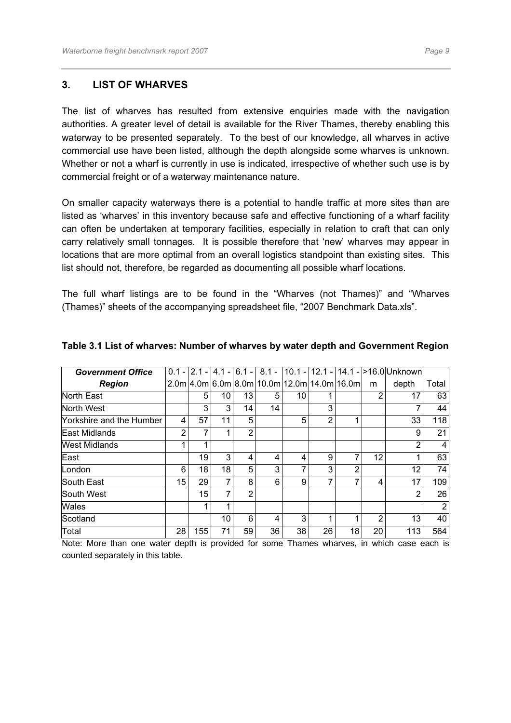#### <span id="page-11-0"></span>**3. LIST OF WHARVES**

The list of wharves has resulted from extensive enquiries made with the navigation authorities. A greater level of detail is available for the River Thames, thereby enabling this waterway to be presented separately. To the best of our knowledge, all wharves in active commercial use have been listed, although the depth alongside some wharves is unknown. Whether or not a wharf is currently in use is indicated, irrespective of whether such use is by commercial freight or of a waterway maintenance nature.

On smaller capacity waterways there is a potential to handle traffic at more sites than are listed as 'wharves' in this inventory because safe and effective functioning of a wharf facility can often be undertaken at temporary facilities, especially in relation to craft that can only carry relatively small tonnages. It is possible therefore that 'new' wharves may appear in locations that are more optimal from an overall logistics standpoint than existing sites. This list should not, therefore, be regarded as documenting all possible wharf locations.

The full wharf listings are to be found in the "Wharves (not Thames)" and "Wharves (Thames)" sheets of the accompanying spreadsheet file, "2007 Benchmark Data.xls".

| <b>Government Office</b> |    |                 |    |                |    |    |                                                |                |    | $0.1 - 2.1 - 4.1 - 6.1 - 8.1 - 10.1 - 12.1 - 14.1 - 16.0$ Unknown |                |
|--------------------------|----|-----------------|----|----------------|----|----|------------------------------------------------|----------------|----|-------------------------------------------------------------------|----------------|
| <b>Region</b>            |    |                 |    |                |    |    | $2.0m/4.0m/6.0m/8.0m/10.0m/12.0m/14.0m/16.0m/$ |                | m  | depth                                                             | Total          |
| North East               |    | 5               | 10 | 13             | 5  | 10 |                                                |                | 2  | 17                                                                | 63             |
| North West               |    | 3               | 3  | 14             | 14 |    | 3                                              |                |    |                                                                   | 44             |
| Yorkshire and the Humber | 4  | 57              | 11 | 5              |    | 5  | 2                                              |                |    | 33                                                                | 118            |
| East Midlands            | 2  |                 |    | $\overline{2}$ |    |    |                                                |                |    | 9                                                                 | 21             |
| West Midlands            |    |                 |    |                |    |    |                                                |                |    | 2                                                                 | 4              |
| East                     |    | 19              | 3  | 4              | 4  | 4  | 9                                              | $\overline{7}$ | 12 |                                                                   | 63             |
| London                   | 6  | 18              | 18 | 5              | 3  |    | 3                                              | $\overline{2}$ |    | 12                                                                | 74             |
| South East               | 15 | 29              | 7  | 8              | 6  | 9  | $\overline{7}$                                 | 7              | 4  | 17                                                                | 109            |
| South West               |    | 15 <sub>1</sub> | 7  | 2              |    |    |                                                |                |    | 2                                                                 | 26             |
| <b>Wales</b>             |    |                 | 1  |                |    |    |                                                |                |    |                                                                   | $\overline{2}$ |
| Scotland                 |    |                 | 10 | 6              | 4  | 3  |                                                |                | 2  | 13                                                                | 40             |
| Total                    | 28 | 155             | 71 | 59             | 36 | 38 | 26                                             | 18             | 20 | 113                                                               | 564            |

#### **Table 3.1 List of wharves: Number of wharves by water depth and Government Region**

Note: More than one water depth is provided for some Thames wharves, in which case each is counted separately in this table.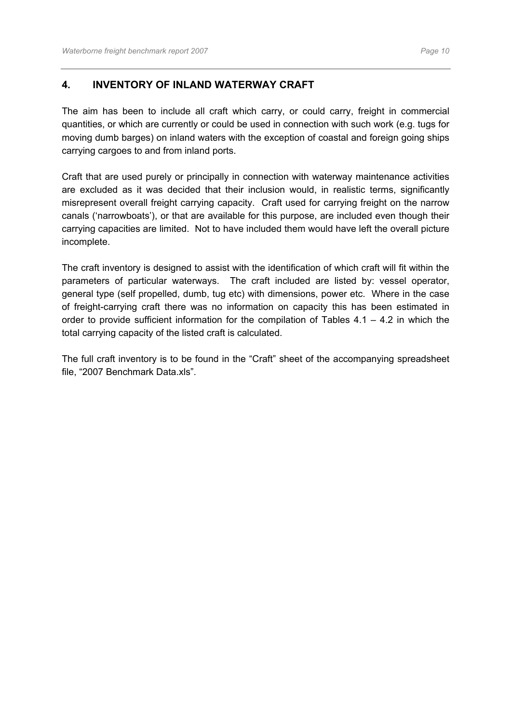#### <span id="page-12-0"></span>**4. INVENTORY OF INLAND WATERWAY CRAFT**

The aim has been to include all craft which carry, or could carry, freight in commercial quantities, or which are currently or could be used in connection with such work (e.g. tugs for moving dumb barges) on inland waters with the exception of coastal and foreign going ships carrying cargoes to and from inland ports.

Craft that are used purely or principally in connection with waterway maintenance activities are excluded as it was decided that their inclusion would, in realistic terms, significantly misrepresent overall freight carrying capacity. Craft used for carrying freight on the narrow canals ('narrowboats'), or that are available for this purpose, are included even though their carrying capacities are limited. Not to have included them would have left the overall picture incomplete.

The craft inventory is designed to assist with the identification of which craft will fit within the parameters of particular waterways. The craft included are listed by: vessel operator, general type (self propelled, dumb, tug etc) with dimensions, power etc. Where in the case of freight-carrying craft there was no information on capacity this has been estimated in order to provide sufficient information for the compilation of Tables  $4.1 - 4.2$  in which the total carrying capacity of the listed craft is calculated.

The full craft inventory is to be found in the "Craft" sheet of the accompanying spreadsheet file, "2007 Benchmark Data.xls".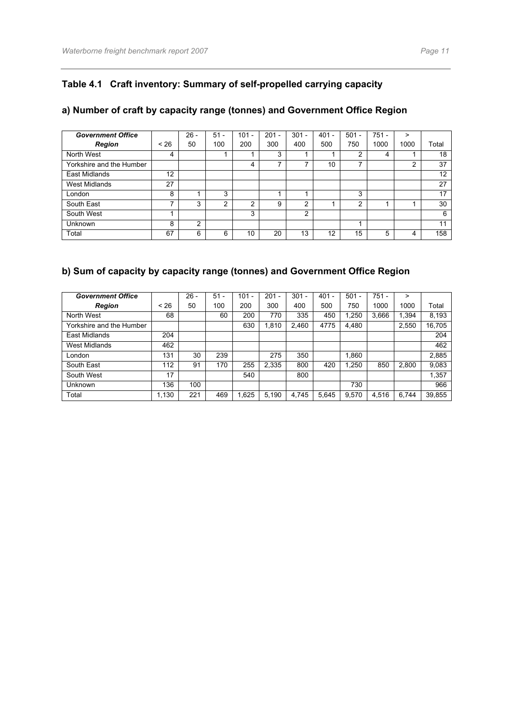## **Table 4.1 Craft inventory: Summary of self-propelled carrying capacity**

| <b>Government Office</b> |         | $26 -$ | $51 -$ | 101<br>$\overline{\phantom{0}}$ | $201 -$ | $301 -$ | 401<br>$\overline{\phantom{a}}$ | 501<br>$\overline{\phantom{0}}$ | 751<br>$\overline{\phantom{a}}$ | >    |       |
|--------------------------|---------|--------|--------|---------------------------------|---------|---------|---------------------------------|---------------------------------|---------------------------------|------|-------|
| <b>Region</b>            | $~<$ 26 | 50     | 100    | 200                             | 300     | 400     | 500                             | 750                             | 1000                            | 1000 | Total |
| North West               | 4       |        |        |                                 | 3       |         |                                 | 2                               | 4                               |      | 18    |
| Yorkshire and the Humber |         |        |        | 4                               |         |         | 10                              | ⇁                               |                                 | າ    | 37    |
| East Midlands            | 12      |        |        |                                 |         |         |                                 |                                 |                                 |      | 12    |
| West Midlands            | 27      |        |        |                                 |         |         |                                 |                                 |                                 |      | 27    |
| London                   | 8       |        | 3      |                                 |         |         |                                 | 3                               |                                 |      | 17    |
| South East               |         | 3      | າ      | 2                               | 9       | ົ       |                                 | 2                               |                                 |      | 30    |
| South West               |         |        |        | 3                               |         | ົ       |                                 |                                 |                                 |      | 6     |
| Unknown                  | 8       | 2      |        |                                 |         |         |                                 |                                 |                                 |      | 11    |
| Total                    | 67      | 6      | 6      | 10                              | 20      | 13      | 12                              | 15                              | 5                               | 4    | 158   |

## **a) Number of craft by capacity range (tonnes) and Government Office Region**

## **b) Sum of capacity by capacity range (tonnes) and Government Office Region**

| <b>Government Office</b> |       | $26 -$ | $51 -$ | 101<br>$\overline{\phantom{0}}$ | 201   | $301 -$ | 401<br>$\overline{\phantom{a}}$ | 501   | 751<br>$\overline{\phantom{0}}$ | >     |        |
|--------------------------|-------|--------|--------|---------------------------------|-------|---------|---------------------------------|-------|---------------------------------|-------|--------|
| <b>Region</b>            | ~126  | 50     | 100    | 200                             | 300   | 400     | 500                             | 750   | 1000                            | 1000  | Total  |
| North West               | 68    |        | 60     | 200                             | 770   | 335     | 450                             | .250  | 3,666                           | 1,394 | 8,193  |
| Yorkshire and the Humber |       |        |        | 630                             | 1,810 | 2.460   | 4775                            | 4,480 |                                 | 2,550 | 16,705 |
| East Midlands            | 204   |        |        |                                 |       |         |                                 |       |                                 |       | 204    |
| West Midlands            | 462   |        |        |                                 |       |         |                                 |       |                                 |       | 462    |
| London                   | 131   | 30     | 239    |                                 | 275   | 350     |                                 | .860  |                                 |       | 2,885  |
| South East               | 112   | 91     | 170    | 255                             | 2,335 | 800     | 420                             | .250  | 850                             | 2.800 | 9,083  |
| South West               | 17    |        |        | 540                             |       | 800     |                                 |       |                                 |       | 1,357  |
| <b>Unknown</b>           | 136   | 100    |        |                                 |       |         |                                 | 730   |                                 |       | 966    |
| Total                    | 1,130 | 221    | 469    | .625                            | 5.190 | 4,745   | 5.645                           | 9,570 | 4.516                           | 6.744 | 39,855 |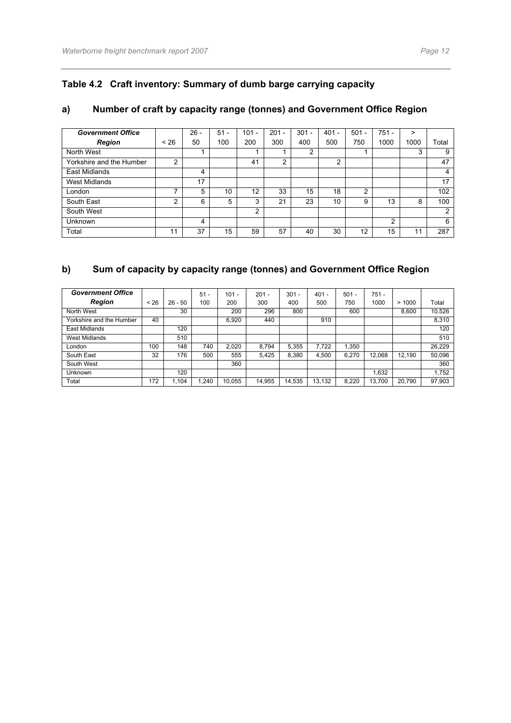## **Table 4.2 Craft inventory: Summary of dumb barge carrying capacity**

#### **a) Number of craft by capacity range (tonnes) and Government Office Region**

| <b>Government Office</b> |      | $26 -$ | $51 -$ | $101 -$ | $201 -$ | $301 -$ | $401 -$ | 501<br>$\overline{\phantom{a}}$ | $751 -$ | >    |       |
|--------------------------|------|--------|--------|---------|---------|---------|---------|---------------------------------|---------|------|-------|
| <b>Region</b>            | < 26 | 50     | 100    | 200     | 300     | 400     | 500     | 750                             | 1000    | 1000 | Total |
| North West               |      |        |        |         |         | ົ       |         |                                 |         | 3    | 9     |
| Yorkshire and the Humber | 2    |        |        | 41      | 2       |         | 2       |                                 |         |      | 47    |
| East Midlands            |      | 4      |        |         |         |         |         |                                 |         |      | 4     |
| <b>West Midlands</b>     |      | 17     |        |         |         |         |         |                                 |         |      | 17    |
| London                   |      | 5      | 10     | 12      | 33      | 15      | 18      | 2                               |         |      | 102   |
| South East               | 2    | 6      | 5      | 3       | 21      | 23      | 10      | 9                               | 13      | 8    | 100   |
| South West               |      |        |        | 2       |         |         |         |                                 |         |      | 2     |
| Unknown                  |      | 4      |        |         |         |         |         |                                 | 2       |      | 6     |
| Total                    | 11   | 37     | 15     | 59      | 57      | 40      | 30      | 12                              | 15      | 11   | 287   |

## **b) Sum of capacity by capacity range (tonnes) and Government Office Region**

| <b>Government Office</b> |      |           | 51<br>٠ | $101 -$ | $201 -$ | $301 -$ | $401 -$ | 501   | $751 -$ |        |        |
|--------------------------|------|-----------|---------|---------|---------|---------|---------|-------|---------|--------|--------|
| <b>Region</b>            | < 26 | $26 - 50$ | 100     | 200     | 300     | 400     | 500     | 750   | 1000    | >1000  | Total  |
| North West               |      | 30        |         | 200     | 296     | 800     |         | 600   |         | 8.600  | 10,526 |
| Yorkshire and the Humber | 40   |           |         | 6.920   | 440     |         | 910     |       |         |        | 8,310  |
| East Midlands            |      | 120       |         |         |         |         |         |       |         |        | 120    |
| West Midlands            |      | 510       |         |         |         |         |         |       |         |        | 510    |
| London                   | 100  | 148       | 740     | 2.020   | 8.794   | 5.355   | 7.722   | 1.350 |         |        | 26,229 |
| South East               | 32   | 176       | 500     | 555     | 5.425   | 8.380   | 4.500   | 6.270 | 12.068  | 12.190 | 50,096 |
| South West               |      |           |         | 360     |         |         |         |       |         |        | 360    |
| Unknown                  |      | 120       |         |         |         |         |         |       | 1,632   |        | 1.752  |
| Total                    | 172  | 1.104     | .240    | 10.055  | 14.955  | 14,535  | 13,132  | 8.220 | 13,700  | 20.790 | 97,903 |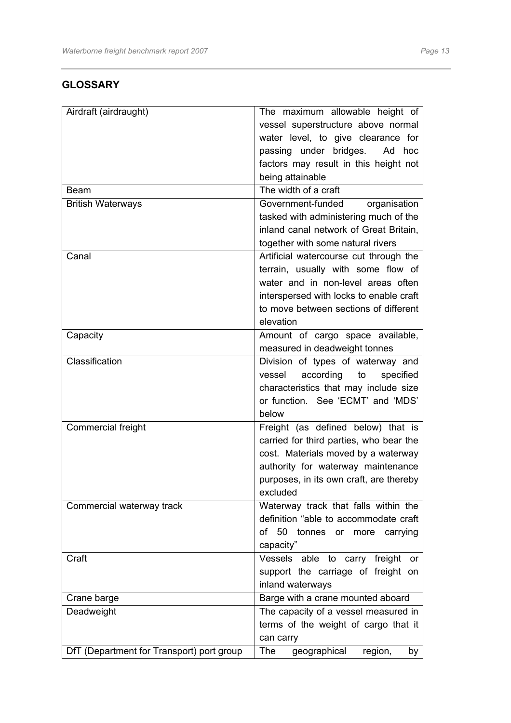## <span id="page-15-0"></span>**GLOSSARY**

| Airdraft (airdraught)                     | The maximum allowable height of                 |
|-------------------------------------------|-------------------------------------------------|
|                                           | vessel superstructure above normal              |
|                                           | water level, to give clearance for              |
|                                           | passing under bridges.<br>hoc<br>Ad             |
|                                           | factors may result in this height not           |
|                                           | being attainable                                |
| <b>Beam</b>                               | The width of a craft                            |
| <b>British Waterways</b>                  | Government-funded<br>organisation               |
|                                           | tasked with administering much of the           |
|                                           | inland canal network of Great Britain,          |
|                                           | together with some natural rivers               |
| Canal                                     | Artificial watercourse cut through the          |
|                                           | terrain, usually with some flow of              |
|                                           | water and in non-level areas often              |
|                                           | interspersed with locks to enable craft         |
|                                           | to move between sections of different           |
|                                           | elevation                                       |
| Capacity                                  | Amount of cargo space available,                |
|                                           | measured in deadweight tonnes                   |
| Classification                            | Division of types of waterway and               |
|                                           | according<br>to<br>specified<br>vessel          |
|                                           | characteristics that may include size           |
|                                           | or function. See 'ECMT' and 'MDS'               |
|                                           | below                                           |
| Commercial freight                        | Freight (as defined below) that is              |
|                                           | carried for third parties, who bear the         |
|                                           | cost. Materials moved by a waterway             |
|                                           | authority for waterway maintenance              |
|                                           | purposes, in its own craft, are thereby         |
|                                           | excluded                                        |
| Commercial waterway track                 | Waterway track that falls within the            |
|                                           | definition "able to accommodate craft           |
|                                           | 50<br>of<br>tonnes or more<br>carrying          |
|                                           | capacity"                                       |
| Craft                                     | Vessels able to carry freight                   |
|                                           | <b>or</b><br>support the carriage of freight on |
|                                           | inland waterways                                |
|                                           |                                                 |
| Crane barge                               | Barge with a crane mounted aboard               |
| Deadweight                                | The capacity of a vessel measured in            |
|                                           | terms of the weight of cargo that it            |
|                                           | can carry                                       |
| DfT (Department for Transport) port group | geographical<br>region,<br>The<br>by            |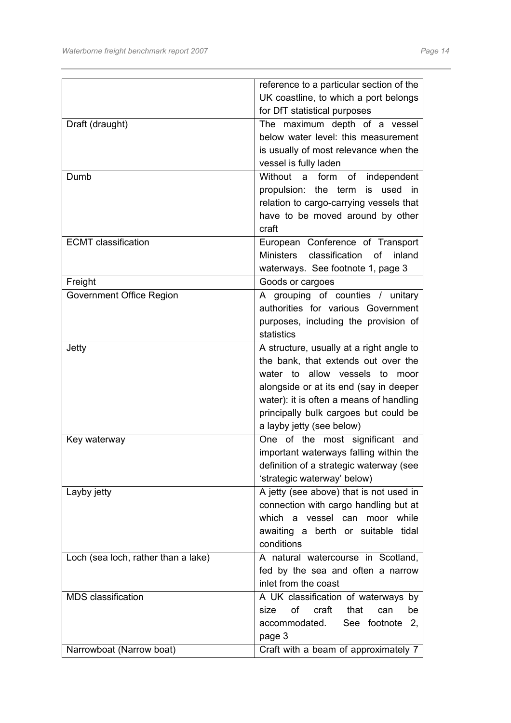|                                     | reference to a particular section of the |
|-------------------------------------|------------------------------------------|
|                                     | UK coastline, to which a port belongs    |
|                                     | for DfT statistical purposes             |
| Draft (draught)                     | The maximum depth of a vessel            |
|                                     | below water level: this measurement      |
|                                     | is usually of most relevance when the    |
|                                     | vessel is fully laden                    |
| Dumb                                | Without a form                           |
|                                     | of<br>independent                        |
|                                     | propulsion: the term<br>used<br>is<br>in |
|                                     | relation to cargo-carrying vessels that  |
|                                     | have to be moved around by other         |
|                                     | craft                                    |
| <b>ECMT</b> classification          | European Conference of Transport         |
|                                     | Ministers classification<br>of<br>inland |
|                                     | waterways. See footnote 1, page 3        |
| Freight                             | Goods or cargoes                         |
| Government Office Region            | A grouping of counties / unitary         |
|                                     | authorities for various Government       |
|                                     | purposes, including the provision of     |
|                                     |                                          |
|                                     | statistics                               |
| Jetty                               | A structure, usually at a right angle to |
|                                     | the bank, that extends out over the      |
|                                     | water to allow vessels to moor           |
|                                     | alongside or at its end (say in deeper   |
|                                     | water): it is often a means of handling  |
|                                     | principally bulk cargoes but could be    |
|                                     | a layby jetty (see below)                |
| Key waterway                        | One of the most significant and          |
|                                     | important waterways falling within the   |
|                                     | definition of a strategic waterway (see  |
|                                     | 'strategic waterway' below)              |
|                                     |                                          |
| Layby jetty                         | A jetty (see above) that is not used in  |
|                                     | connection with cargo handling but at    |
|                                     | which a vessel can moor while            |
|                                     | awaiting a berth or suitable tidal       |
|                                     | conditions                               |
| Loch (sea loch, rather than a lake) | A natural watercourse in Scotland,       |
|                                     | fed by the sea and often a narrow        |
|                                     | inlet from the coast                     |
| <b>MDS</b> classification           | A UK classification of waterways by      |
|                                     | of<br>craft<br>that<br>size<br>can<br>be |
|                                     | See footnote 2,<br>accommodated.         |
|                                     | page 3                                   |
|                                     |                                          |
| Narrowboat (Narrow boat)            | Craft with a beam of approximately 7     |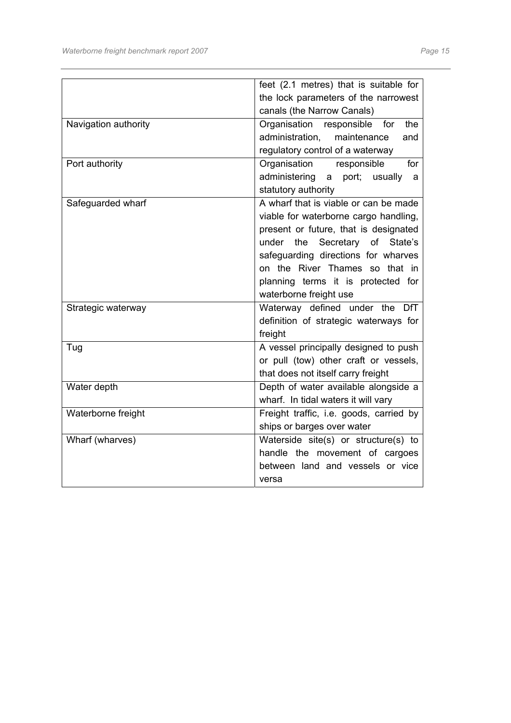|                      | feet (2.1 metres) that is suitable for  |
|----------------------|-----------------------------------------|
|                      | the lock parameters of the narrowest    |
|                      | canals (the Narrow Canals)              |
| Navigation authority | Organisation responsible<br>for<br>the  |
|                      | administration,<br>maintenance<br>and   |
|                      | regulatory control of a waterway        |
| Port authority       | Organisation responsible<br>for         |
|                      | administering<br>a port; usually<br>a   |
|                      | statutory authority                     |
| Safeguarded wharf    | A wharf that is viable or can be made   |
|                      | viable for waterborne cargo handling,   |
|                      | present or future, that is designated   |
|                      | Secretary of State's<br>under<br>the    |
|                      | safeguarding directions for wharves     |
|                      | on the River Thames so that in          |
|                      | planning terms it is protected for      |
|                      | waterborne freight use                  |
| Strategic waterway   | Waterway defined under the DfT          |
|                      | definition of strategic waterways for   |
|                      | freight                                 |
| Tug                  | A vessel principally designed to push   |
|                      | or pull (tow) other craft or vessels,   |
|                      | that does not itself carry freight      |
| Water depth          | Depth of water available alongside a    |
|                      | wharf. In tidal waters it will vary     |
| Waterborne freight   | Freight traffic, i.e. goods, carried by |
|                      | ships or barges over water              |
| Wharf (wharves)      | Waterside site(s) or structure(s) to    |
|                      | handle the movement of cargoes          |
|                      | between land and vessels or vice        |
|                      | versa                                   |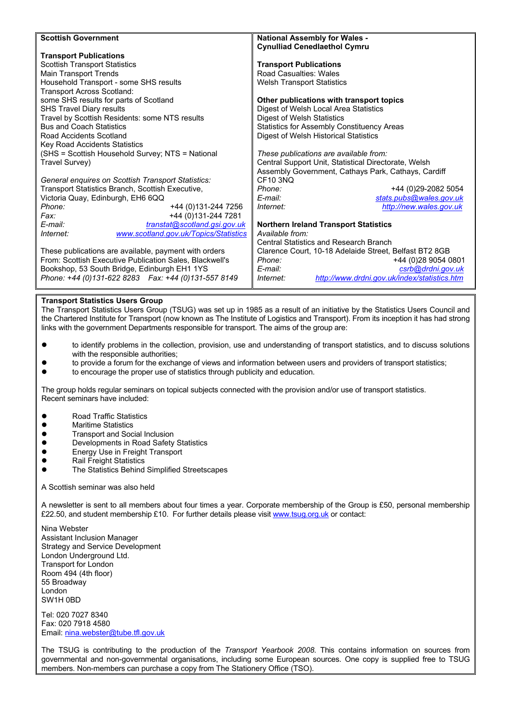| <b>Scottish Government</b>             |                                                         | <b>National Assembly for Wales -</b>                   |                                                     |  |  |
|----------------------------------------|---------------------------------------------------------|--------------------------------------------------------|-----------------------------------------------------|--|--|
|                                        |                                                         |                                                        | <b>Cynulliad Cenedlaethol Cymru</b>                 |  |  |
| <b>Transport Publications</b>          |                                                         |                                                        |                                                     |  |  |
| <b>Scottish Transport Statistics</b>   |                                                         | <b>Transport Publications</b>                          |                                                     |  |  |
| Main Transport Trends                  |                                                         | <b>Road Casualties: Wales</b>                          |                                                     |  |  |
|                                        |                                                         |                                                        |                                                     |  |  |
|                                        | Household Transport - some SHS results                  | <b>Welsh Transport Statistics</b>                      |                                                     |  |  |
| Transport Across Scotland:             |                                                         |                                                        |                                                     |  |  |
| some SHS results for parts of Scotland |                                                         | Other publications with transport topics               |                                                     |  |  |
| SHS Travel Diary results               |                                                         | Digest of Welsh Local Area Statistics                  |                                                     |  |  |
|                                        | Travel by Scottish Residents: some NTS results          | Digest of Welsh Statistics                             |                                                     |  |  |
| <b>Bus and Coach Statistics</b>        |                                                         | <b>Statistics for Assembly Constituency Areas</b>      |                                                     |  |  |
| Road Accidents Scotland                |                                                         | Digest of Welsh Historical Statistics                  |                                                     |  |  |
| Key Road Accidents Statistics          |                                                         |                                                        |                                                     |  |  |
|                                        | (SHS = Scottish Household Survey; NTS = National        | These publications are available from:                 |                                                     |  |  |
| Travel Survey)                         |                                                         | Central Support Unit, Statistical Directorate, Welsh   |                                                     |  |  |
|                                        |                                                         |                                                        | Assembly Government, Cathays Park, Cathays, Cardiff |  |  |
|                                        | General enquires on Scottish Transport Statistics:      | <b>CF10 3NO</b>                                        |                                                     |  |  |
|                                        | Transport Statistics Branch, Scottish Executive,        | Phone:                                                 | +44 (0)29-2082 5054                                 |  |  |
| Victoria Quay, Edinburgh, EH6 6QQ      |                                                         | E-mail:                                                | stats.pubs@wales.gov.uk                             |  |  |
| Phone:                                 | +44 (0) 131-244 7256                                    | Internet:                                              | http://new.wales.gov.uk                             |  |  |
| Fax:                                   | +44 (0) 131-244 7281                                    |                                                        |                                                     |  |  |
| E-mail:                                | transtat@scotland.gsi.gov.uk                            |                                                        | <b>Northern Ireland Transport Statistics</b>        |  |  |
| Internet:                              | www.scotland.gov.uk/Topics/Statistics                   | Available from:                                        |                                                     |  |  |
|                                        |                                                         |                                                        | <b>Central Statistics and Research Branch</b>       |  |  |
|                                        | These publications are available, payment with orders   | Clarence Court, 10-18 Adelaide Street, Belfast BT2 8GB |                                                     |  |  |
|                                        | From: Scottish Executive Publication Sales, Blackwell's | Phone:                                                 | +44 (0)28 9054 0801                                 |  |  |
|                                        | Bookshop, 53 South Bridge, Edinburgh EH1 1YS            | E-mail:                                                | csrb@drdni.gov.uk                                   |  |  |
|                                        | Phone: +44 (0)131-622 8283    Fax: +44 (0)131-557 8149  | Internet:                                              | http://www.drdni.gov.uk/index/statistics.htm        |  |  |
|                                        |                                                         |                                                        |                                                     |  |  |

#### **Transport Statistics Users Group**

The Transport Statistics Users Group (TSUG) was set up in 1985 as a result of an initiative by the Statistics Users Council and the Chartered Institute for Transport (now known as The Institute of Logistics and Transport). From its inception it has had strong links with the government Departments responsible for transport. The aims of the group are:

- to identify problems in the collection, provision, use and understanding of transport statistics, and to discuss solutions with the responsible authorities;
- to provide a forum for the exchange of views and information between users and providers of transport statistics;
- to encourage the proper use of statistics through publicity and education.

The group holds regular seminars on topical subjects connected with the provision and/or use of transport statistics. Recent seminars have included:

- Road Traffic Statistics
- **•** Maritime Statistics
- **•** Transport and Social Inclusion
- **•** Developments in Road Safety Statistics
- **•** Energy Use in Freight Transport
- **Rail Freight Statistics**
- **•** The Statistics Behind Simplified Streetscapes

#### A Scottish seminar was also held

A newsletter is sent to all members about four times a year. Corporate membership of the Group is £50, personal membership £22.50, and student membership £10. For further details please visit [www.tsug.org.uk](http://www.tsug.org.uk/) or contact:

Nina Webster Assistant Inclusion Manager Strategy and Service Development London Underground Ltd. Transport for London Room 494 (4th floor) 55 Broadway London SW1H 0BD

Tel: 020 7027 8340 Fax: 020 7918 4580 Email: [nina.webster@tube.tfl.gov.uk](mailto:nina.webster@tube.tfl.gov.uk)

The TSUG is contributing to the production of the *Transport Yearbook 2008*. This contains information on sources from governmental and non-governmental organisations, including some European sources. One copy is supplied free to TSUG members. Non-members can purchase a copy from The Stationery Office (TSO).